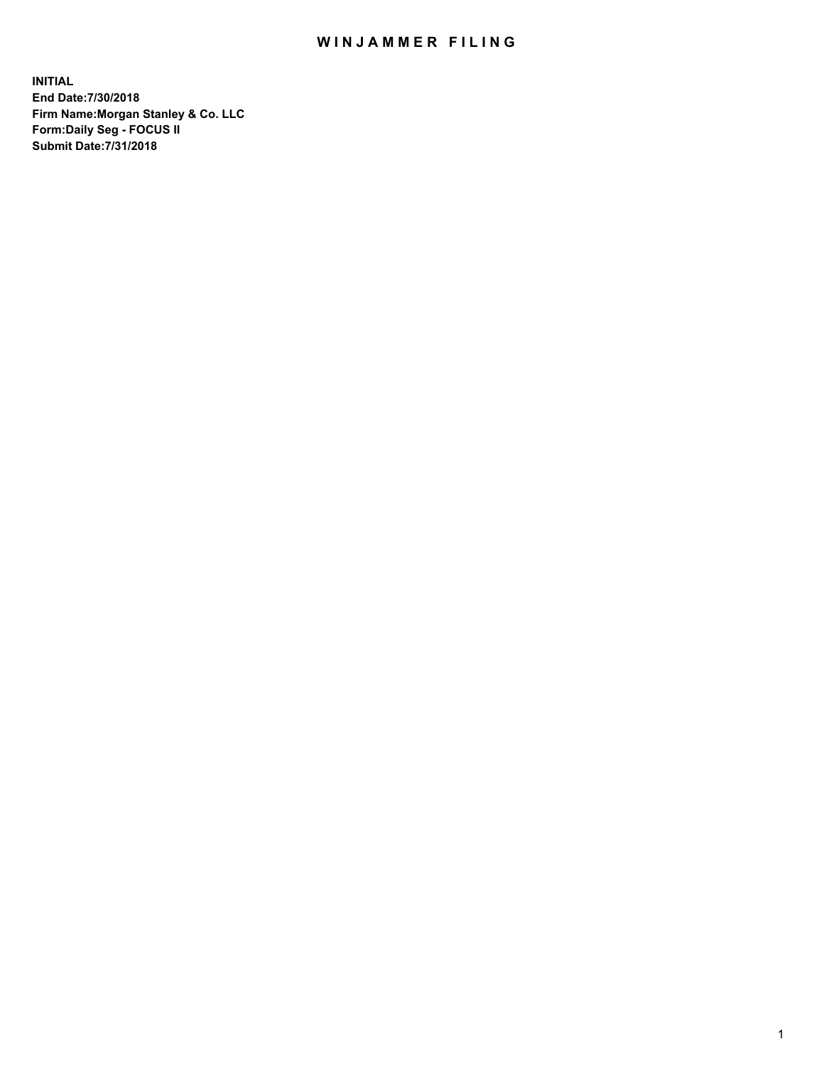## WIN JAMMER FILING

**INITIAL End Date:7/30/2018 Firm Name:Morgan Stanley & Co. LLC Form:Daily Seg - FOCUS II Submit Date:7/31/2018**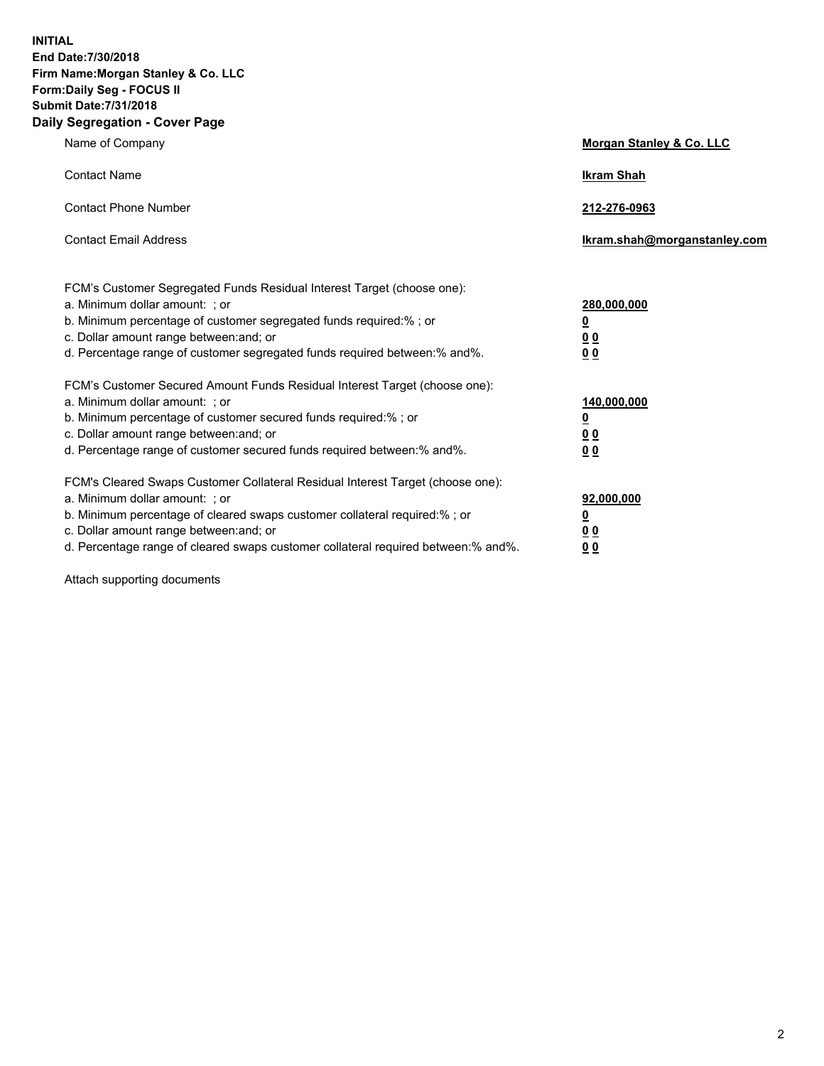**INITIAL End Date:7/30/2018 Firm Name:Morgan Stanley & Co. LLC Form:Daily Seg - FOCUS II Submit Date:7/31/2018 Daily Segregation - Cover Page**

| Name of Company                                                                                                                                                                                                                                                                                                                | Morgan Stanley & Co. LLC                                    |
|--------------------------------------------------------------------------------------------------------------------------------------------------------------------------------------------------------------------------------------------------------------------------------------------------------------------------------|-------------------------------------------------------------|
| <b>Contact Name</b>                                                                                                                                                                                                                                                                                                            | <b>Ikram Shah</b>                                           |
| <b>Contact Phone Number</b>                                                                                                                                                                                                                                                                                                    | 212-276-0963                                                |
| <b>Contact Email Address</b>                                                                                                                                                                                                                                                                                                   | lkram.shah@morganstanley.com                                |
| FCM's Customer Segregated Funds Residual Interest Target (choose one):<br>a. Minimum dollar amount: ; or<br>b. Minimum percentage of customer segregated funds required:% ; or<br>c. Dollar amount range between: and; or<br>d. Percentage range of customer segregated funds required between: % and %.                       | 280,000,000<br><u>0</u><br><u>00</u><br>0 <sup>0</sup>      |
| FCM's Customer Secured Amount Funds Residual Interest Target (choose one):<br>a. Minimum dollar amount: ; or<br>b. Minimum percentage of customer secured funds required:%; or<br>c. Dollar amount range between: and; or<br>d. Percentage range of customer secured funds required between:% and%.                            | 140,000,000<br><u>0</u><br>0 <sub>0</sub><br>0 <sub>0</sub> |
| FCM's Cleared Swaps Customer Collateral Residual Interest Target (choose one):<br>a. Minimum dollar amount: ; or<br>b. Minimum percentage of cleared swaps customer collateral required:% ; or<br>c. Dollar amount range between: and; or<br>d. Percentage range of cleared swaps customer collateral required between:% and%. | 92,000,000<br><u>0</u><br><u>00</u><br>0 <sup>0</sup>       |

Attach supporting documents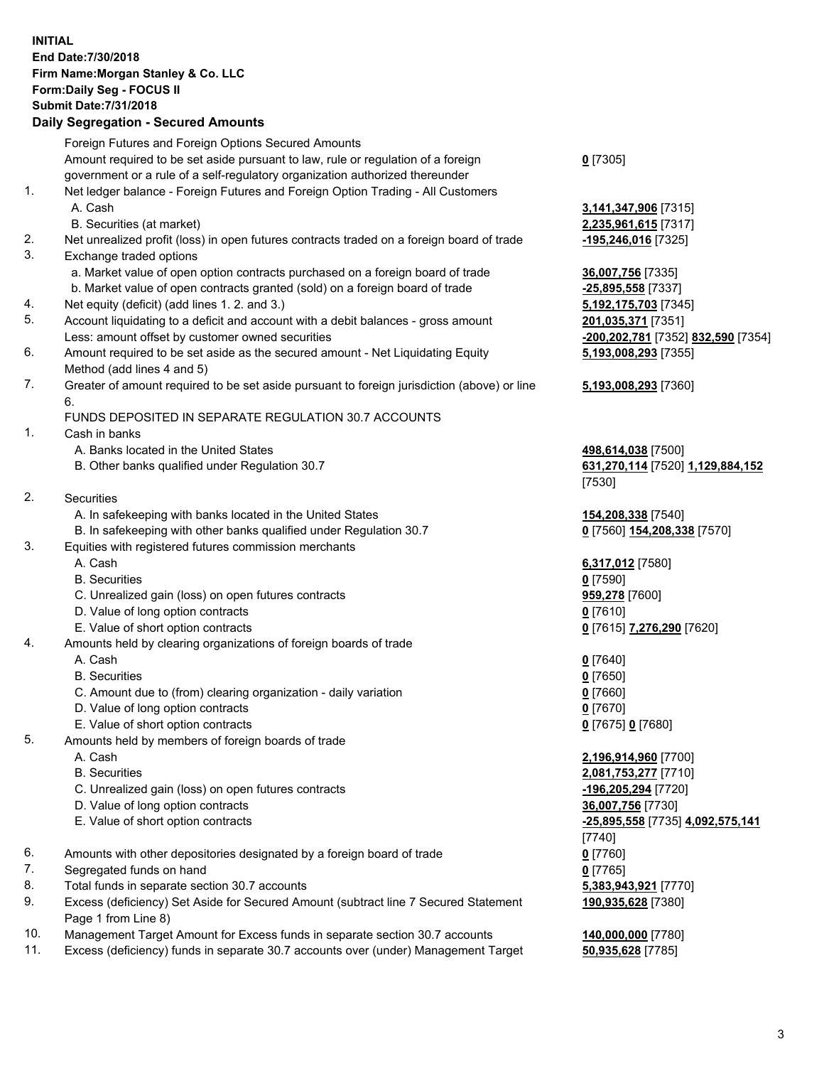## **INITIAL End Date:7/30/2018 Firm Name:Morgan Stanley & Co. LLC Form:Daily Seg - FOCUS II Submit Date:7/31/2018**

## **Daily Segregation - Secured Amounts**

|    | Foreign Futures and Foreign Options Secured Amounts                                                          |                                    |
|----|--------------------------------------------------------------------------------------------------------------|------------------------------------|
|    | Amount required to be set aside pursuant to law, rule or regulation of a foreign                             | $0$ [7305]                         |
|    | government or a rule of a self-regulatory organization authorized thereunder                                 |                                    |
| 1. | Net ledger balance - Foreign Futures and Foreign Option Trading - All Customers                              |                                    |
|    | A. Cash                                                                                                      | 3,141,347,906 [7315]               |
|    | B. Securities (at market)                                                                                    | 2,235,961,615 [7317]               |
| 2. | Net unrealized profit (loss) in open futures contracts traded on a foreign board of trade                    | -195,246,016 [7325]                |
| 3. | Exchange traded options                                                                                      |                                    |
|    | a. Market value of open option contracts purchased on a foreign board of trade                               | 36,007,756 [7335]                  |
|    | b. Market value of open contracts granted (sold) on a foreign board of trade                                 | $-25,895,558$ [7337]               |
| 4. | Net equity (deficit) (add lines 1. 2. and 3.)                                                                | 5,192,175,703 [7345]               |
| 5. | Account liquidating to a deficit and account with a debit balances - gross amount                            | 201,035,371 [7351]                 |
|    | Less: amount offset by customer owned securities                                                             | -200,202,781 [7352] 832,590 [7354] |
| 6. | Amount required to be set aside as the secured amount - Net Liquidating Equity<br>Method (add lines 4 and 5) | 5,193,008,293 [7355]               |
| 7. | Greater of amount required to be set aside pursuant to foreign jurisdiction (above) or line                  | 5,193,008,293 [7360]               |
|    | 6.                                                                                                           |                                    |
|    | FUNDS DEPOSITED IN SEPARATE REGULATION 30.7 ACCOUNTS                                                         |                                    |
| 1. | Cash in banks                                                                                                |                                    |
|    | A. Banks located in the United States                                                                        | 498,614,038 [7500]                 |
|    | B. Other banks qualified under Regulation 30.7                                                               | 631,270,114 [7520] 1,129,884,152   |
|    |                                                                                                              | [7530]                             |
| 2. | Securities                                                                                                   |                                    |
|    | A. In safekeeping with banks located in the United States                                                    | 154,208,338 [7540]                 |
|    | B. In safekeeping with other banks qualified under Regulation 30.7                                           | 0 [7560] 154,208,338 [7570]        |
| 3. | Equities with registered futures commission merchants                                                        |                                    |
|    | A. Cash                                                                                                      | 6,317,012 [7580]                   |
|    | <b>B.</b> Securities                                                                                         | $0$ [7590]                         |
|    | C. Unrealized gain (loss) on open futures contracts                                                          | 959,278 [7600]                     |
|    | D. Value of long option contracts                                                                            | $0$ [7610]                         |
|    | E. Value of short option contracts                                                                           | 0 [7615] 7,276,290 [7620]          |
| 4. | Amounts held by clearing organizations of foreign boards of trade                                            |                                    |
|    | A. Cash                                                                                                      | $0$ [7640]                         |
|    | <b>B.</b> Securities                                                                                         | $0$ [7650]                         |
|    | C. Amount due to (from) clearing organization - daily variation                                              | $0$ [7660]                         |
|    | D. Value of long option contracts                                                                            | $0$ [7670]                         |
|    | E. Value of short option contracts                                                                           | 0 [7675] 0 [7680]                  |
| 5. | Amounts held by members of foreign boards of trade                                                           |                                    |
|    | A. Cash                                                                                                      | 2,196,914,960 [7700]               |
|    | <b>B.</b> Securities                                                                                         | 2,081,753,277 [7710]               |
|    | C. Unrealized gain (loss) on open futures contracts                                                          | -196,205,294 [7720]                |
|    | D. Value of long option contracts                                                                            | 36,007,756 [7730]                  |
|    | E. Value of short option contracts                                                                           | -25,895,558 [7735] 4,092,575,141   |
| 6. |                                                                                                              | [7740]                             |
| 7. | Amounts with other depositories designated by a foreign board of trade                                       | $0$ [7760]                         |
| 8. | Segregated funds on hand<br>Total funds in separate section 30.7 accounts                                    | $0$ [7765]                         |
| 9. | Excess (deficiency) Set Aside for Secured Amount (subtract line 7 Secured Statement                          | 5,383,943,921 [7770]               |
|    | Page 1 from Line 8)                                                                                          | 190,935,628 [7380]                 |

- 10. Management Target Amount for Excess funds in separate section 30.7 accounts **140,000,000** [7780]
- 11. Excess (deficiency) funds in separate 30.7 accounts over (under) Management Target **50,935,628** [7785]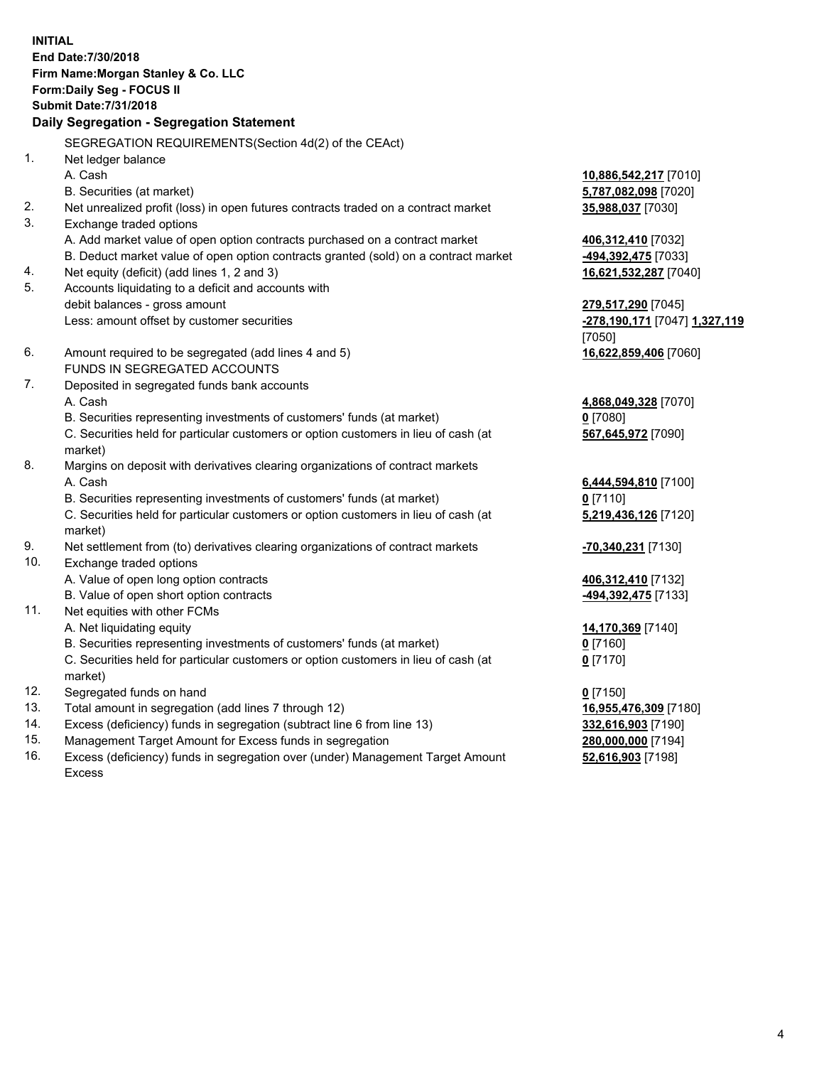**INITIAL End Date:7/30/2018 Firm Name:Morgan Stanley & Co. LLC Form:Daily Seg - FOCUS II Submit Date:7/31/2018 Daily Segregation - Segregation Statement** SEGREGATION REQUIREMENTS(Section 4d(2) of the CEAct) 1. Net ledger balance A. Cash **10,886,542,217** [7010] B. Securities (at market) **5,787,082,098** [7020] 2. Net unrealized profit (loss) in open futures contracts traded on a contract market **35,988,037** [7030] 3. Exchange traded options A. Add market value of open option contracts purchased on a contract market **406,312,410** [7032] B. Deduct market value of open option contracts granted (sold) on a contract market **-494,392,475** [7033] 4. Net equity (deficit) (add lines 1, 2 and 3) **16,621,532,287** [7040] 5. Accounts liquidating to a deficit and accounts with debit balances - gross amount **279,517,290** [7045] Less: amount offset by customer securities **-278,190,171** [7047] **1,327,119** [7050] 6. Amount required to be segregated (add lines 4 and 5) **16,622,859,406** [7060] FUNDS IN SEGREGATED ACCOUNTS 7. Deposited in segregated funds bank accounts A. Cash **4,868,049,328** [7070] B. Securities representing investments of customers' funds (at market) **0** [7080] C. Securities held for particular customers or option customers in lieu of cash (at market) **567,645,972** [7090] 8. Margins on deposit with derivatives clearing organizations of contract markets A. Cash **6,444,594,810** [7100] B. Securities representing investments of customers' funds (at market) **0** [7110] C. Securities held for particular customers or option customers in lieu of cash (at market) **5,219,436,126** [7120] 9. Net settlement from (to) derivatives clearing organizations of contract markets **-70,340,231** [7130] 10. Exchange traded options A. Value of open long option contracts **406,312,410** [7132] B. Value of open short option contracts **-494,392,475** [7133] 11. Net equities with other FCMs A. Net liquidating equity **14,170,369** [7140] B. Securities representing investments of customers' funds (at market) **0** [7160] C. Securities held for particular customers or option customers in lieu of cash (at market) **0** [7170] 12. Segregated funds on hand **0** [7150] 13. Total amount in segregation (add lines 7 through 12) **16,955,476,309** [7180] 14. Excess (deficiency) funds in segregation (subtract line 6 from line 13) **332,616,903** [7190] 15. Management Target Amount for Excess funds in segregation **280,000,000** [7194]

16. Excess (deficiency) funds in segregation over (under) Management Target Amount Excess

**52,616,903** [7198]